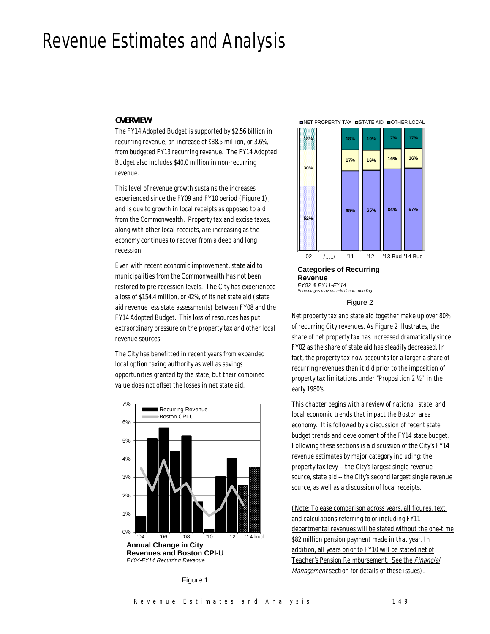# Revenue Estimates and Analysis

#### *OVERVIEW*

The FY14 Adopted Budget is supported by \$2.56 billion in recurring revenue, an increase of \$88.5 million, or 3.6%, from budgeted FY13 recurring revenue. The FY14 Adopted Budget also includes \$40.0 million in non-recurring revenue.

This level of revenue growth sustains the increases experienced since the FY09 and FY10 period (Figure 1), and is due to growth in local receipts as opposed to aid from the Commonwealth. Property tax and excise taxes, along with other local receipts, are increasing as the economy continues to recover from a deep and long recession.

Even with recent economic improvement, state aid to municipalities from the Commonwealth has not been restored to pre-recession levels. The City has experienced a loss of \$154.4 million, or 42%, of its net state aid (state aid revenue less state assessments) between FY08 and the FY14 Adopted Budget. This loss of resources has put extraordinary pressure on the property tax and other local revenue sources.

The City has benefitted in recent years from expanded local option taxing authority as well as savings opportunities granted by the state, but their combined value does not offset the losses in net state aid.









#### **Categories of Recurring Revenue** *FY02 & FY11-FY14*

*Percentages may not add due to rounding*

#### Figure 2

Net property tax and state aid together make up over 80% of recurring City revenues. As Figure 2 illustrates, the share of net property tax has increased dramatically since FY02 as the share of state aid has steadily decreased. In fact, the property tax now accounts for a larger a share of recurring revenues than it did prior to the imposition of property tax limitations under "Proposition 2 ½" in the early 1980's.

This chapter begins with a review of national, state, and local economic trends that impact the Boston area economy. It is followed by a discussion of recent state budget trends and development of the FY14 state budget. Following these sections is a discussion of the City's FY14 revenue estimates by major category including: the property tax levy -- the City's largest single revenue source, state aid -- the City's second largest single revenue source, as well as a discussion of local receipts.

(Note: To ease comparison across years, all figures, text, and calculations referring to or including FY11 departmental revenues will be stated without the one-time \$82 million pension payment made in that year. In addition, all years prior to FY10 will be stated net of Teacher's Pension Reimbursement. See the Financial Management section for details of these issues).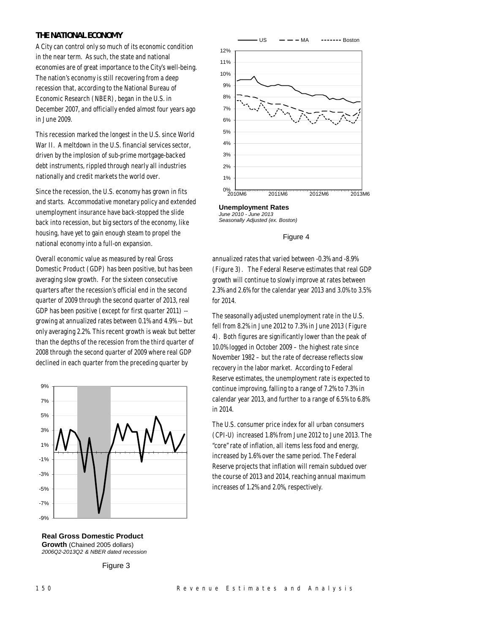# *THE NATIONAL ECONOMY*

A City can control only so much of its economic condition in the near term. As such, the state and national economies are of great importance to the City's well-being. The nation's economy is still recovering from a deep recession that, according to the National Bureau of Economic Research (NBER), began in the U.S. in December 2007, and officially ended almost four years ago in June 2009.

This recession marked the longest in the U.S. since World War II. A meltdown in the U.S. financial services sector, driven by the implosion of sub-prime mortgage-backed debt instruments, rippled through nearly all industries nationally and credit markets the world over.

Since the recession, the U.S. economy has grown in fits and starts. Accommodative monetary policy and extended unemployment insurance have back-stopped the slide back into recession, but big sectors of the economy, like housing, have yet to gain enough steam to propel the national economy into a full-on expansion.

Overall economic value as measured by real Gross Domestic Product (GDP) has been positive, but has been averaging slow growth. For the sixteen consecutive quarters after the recession's official end in the second quarter of 2009 through the second quarter of 2013, real GDP has been positive (except for first quarter 2011) - growing at annualized rates between 0.1% and 4.9% -- but only averaging 2.2%. This recent growth is weak but better than the depths of the recession from the third quarter of 2008 through the second quarter of 2009 where real GDP declined in each quarter from the preceding quarter by





Figure 3



**Unemployment Rates** *June 2010 - June 2013 Seasonally Adjusted (ex. Boston)*

#### Figure 4

annualized rates that varied between -0.3% and -8.9% (Figure 3). The Federal Reserve estimates that real GDP growth will continue to slowly improve at rates between 2.3% and 2.6% for the calendar year 2013 and 3.0% to 3.5% for 2014.

The seasonally adjusted unemployment rate in the U.S. fell from 8.2% in June 2012 to 7.3% in June 2013 (Figure 4). Both figures are significantly lower than the peak of 10.0% logged in October 2009 – the highest rate since November 1982 – but the rate of decrease reflects slow recovery in the labor market. According to Federal Reserve estimates, the unemployment rate is expected to continue improving, falling to a range of 7.2% to 7.3% in calendar year 2013, and further to a range of 6.5% to 6.8% in 2014.

The U.S. consumer price index for all urban consumers (CPI-U) increased 1.8% from June 2012 to June 2013. The "core" rate of inflation, all items less food and energy, increased by 1.6% over the same period. The Federal Reserve projects that inflation will remain subdued over the course of 2013 and 2014, reaching annual maximum increases of 1.2% and 2.0%, respectively.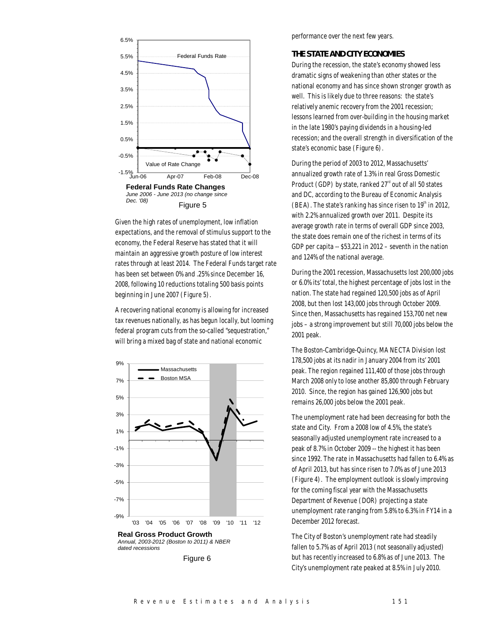

Given the high rates of unemployment, low inflation expectations, and the removal of stimulus support to the economy, the Federal Reserve has stated that it will maintain an aggressive growth posture of low interest rates through at least 2014. The Federal Funds target rate has been set between 0% and .25% since December 16, 2008, following 10 reductions totaling 500 basis points beginning in June 2007 (Figure 5).

A recovering national economy is allowing for increased tax revenues nationally, as has begun locally, but looming federal program cuts from the so-called "sequestration," will bring a mixed bag of state and national economic



performance over the next few years.

## *THE STATE AND CITY ECONOMIES*

During the recession, the state's economy showed less dramatic signs of weakening than other states or the national economy and has since shown stronger growth as well. This is likely due to three reasons: the state's relatively anemic recovery from the 2001 recession; lessons learned from over-building in the housing market in the late 1980's paying dividends in a housing-led recession; and the overall strength in diversification of the state's economic base (Figure 6).

During the period of 2003 to 2012, Massachusetts' annualized growth rate of 1.3% in real Gross Domestic Product (GDP) by state, ranked  $27<sup>rd</sup>$  out of all 50 states and DC, according to the Bureau of Economic Analysis  $(BEA)$ . The state's ranking has since risen to  $19<sup>th</sup>$  in 2012. with 2.2% annualized growth over 2011. Despite its average growth rate in terms of overall GDP since 2003, the state does remain one of the richest in terms of its GDP per capita -- \$53,221 in 2012 – seventh in the nation and 124% of the national average.

During the 2001 recession, Massachusetts lost 200,000 jobs or 6.0% its' total, the highest percentage of jobs lost in the nation. The state had regained 120,500 jobs as of April 2008, but then lost 143,000 jobs through October 2009. Since then, Massachusetts has regained 153,700 net new jobs – a strong improvement but still 70,000 jobs below the 2001 peak.

The Boston-Cambridge-Quincy, MA NECTA Division lost 178,500 jobs at its nadir in January 2004 from its' 2001 peak. The region regained 111,400 of those jobs through March 2008 only to lose another 85,800 through February 2010. Since, the region has gained 126,900 jobs but remains 26,000 jobs below the 2001 peak.

The unemployment rate had been decreasing for both the state and City. From a 2008 low of 4.5%, the state's seasonally adjusted unemployment rate increased to a peak of 8.7% in October 2009 -- the highest it has been since 1992. The rate in Massachusetts had fallen to 6.4% as of April 2013, but has since risen to 7.0% as of June 2013 (Figure 4). The employment outlook is slowly improving for the coming fiscal year with the Massachusetts Department of Revenue (DOR) projecting a state unemployment rate ranging from 5.8% to 6.3% in FY14 in a December 2012 forecast.

The City of Boston's unemployment rate had steadily fallen to 5.7% as of April 2013 (not seasonally adjusted) but has recently increased to 6.8% as of June 2013. The City's unemployment rate peaked at 8.5% in July 2010.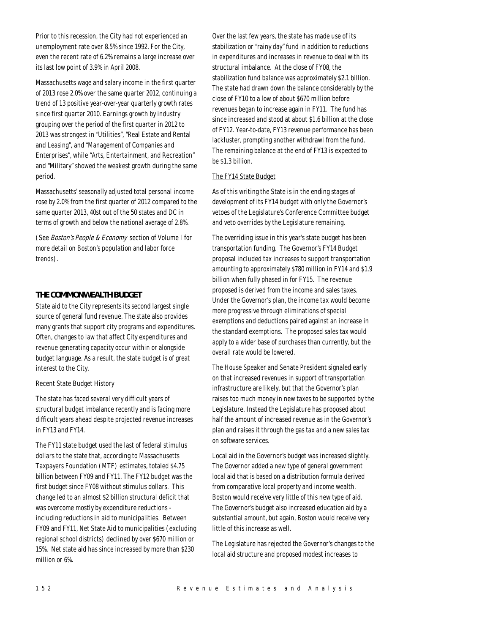Prior to this recession, the City had not experienced an unemployment rate over 8.5% since 1992. For the City, even the recent rate of 6.2% remains a large increase over its last low point of 3.9% in April 2008.

Massachusetts wage and salary income in the first quarter of 2013 rose 2.0% over the same quarter 2012, continuing a trend of 13 positive year-over-year quarterly growth rates since first quarter 2010. Earnings growth by industry grouping over the period of the first quarter in 2012 to 2013 was strongest in "Utilities", "Real Estate and Rental and Leasing", and "Management of Companies and Enterprises", while "Arts, Entertainment, and Recreation" and "Military" showed the weakest growth during the same period.

Massachusetts' seasonally adjusted total personal income rose by 2.0% from the first quarter of 2012 compared to the same quarter 2013, 40st out of the 50 states and DC in terms of growth and below the national average of 2.8%.

(See Boston's People & Economy section of Volume I for more detail on Boston's population and labor force trends).

# *THE COMMONWEALTH BUDGET*

State aid to the City represents its second largest single source of general fund revenue. The state also provides many grants that support city programs and expenditures. Often, changes to law that affect City expenditures and revenue generating capacity occur within or alongside budget language. As a result, the state budget is of great interest to the City.

# Recent State Budget History

The state has faced several very difficult years of structural budget imbalance recently and is facing more difficult years ahead despite projected revenue increases in FY13 and FY14.

The FY11 state budget used the last of federal stimulus dollars to the state that, according to Massachusetts Taxpayers Foundation (MTF) estimates, totaled \$4.75 billion between FY09 and FY11. The FY12 budget was the first budget since FY08 without stimulus dollars. This change led to an almost \$2 billion structural deficit that was overcome mostly by expenditure reductions including reductions in aid to municipalities. Between FY09 and FY11, Net State Aid to municipalities (excluding regional school districts) declined by over \$670 million or 15%. Net state aid has since increased by more than \$230 million or 6%.

Over the last few years, the state has made use of its stabilization or "rainy day" fund in addition to reductions in expenditures and increases in revenue to deal with its structural imbalance. At the close of FY08, the stabilization fund balance was approximately \$2.1 billion. The state had drawn down the balance considerably by the close of FY10 to a low of about \$670 million before revenues began to increase again in FY11. The fund has since increased and stood at about \$1.6 billion at the close of FY12. Year-to-date, FY13 revenue performance has been lackluster, prompting another withdrawl from the fund. The remaining balance at the end of FY13 is expected to be \$1.3 billion.

# The FY14 State Budget

As of this writing the State is in the ending stages of development of its FY14 budget with only the Governor's vetoes of the Legislature's Conference Committee budget and veto overrides by the Legislature remaining.

The overriding issue in this year's state budget has been transportation funding. The Governor's FY14 Budget proposal included tax increases to support transportation amounting to approximately \$780 million in FY14 and \$1.9 billion when fully phased in for FY15. The revenue proposed is derived from the income and sales taxes. Under the Governor's plan, the income tax would become more progressive through eliminations of special exemptions and deductions paired against an increase in the standard exemptions. The proposed sales tax would apply to a wider base of purchases than currently, but the overall rate would be lowered.

The House Speaker and Senate President signaled early on that increased revenues in support of transportation infrastructure are likely, but that the Governor's plan raises too much money in new taxes to be supported by the Legislature. Instead the Legislature has proposed about half the amount of increased revenue as in the Governor's plan and raises it through the gas tax and a new sales tax on software services.

Local aid in the Governor's budget was increased slightly. The Governor added a new type of general government local aid that is based on a distribution formula derived from comparative local property and income wealth. Boston would receive very little of this new type of aid. The Governor's budget also increased education aid by a substantial amount, but again, Boston would receive very little of this increase as well.

The Legislature has rejected the Governor's changes to the local aid structure and proposed modest increases to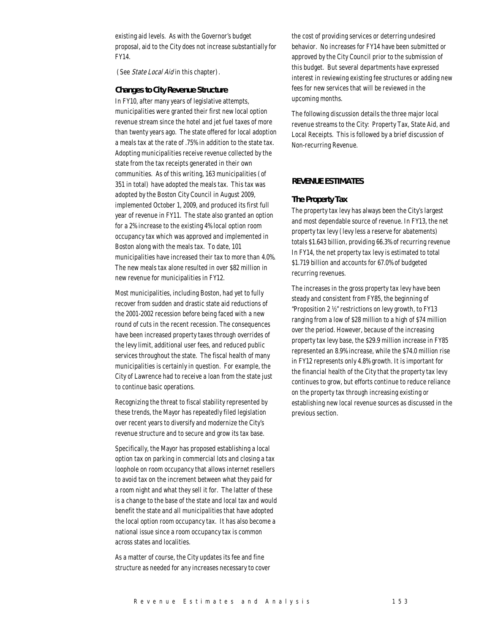existing aid levels. As with the Governor's budget proposal, aid to the City does not increase substantially for FY14.

(See *State Local Aid* in this chapter).

#### *Changes to City Revenue Structure*

In FY10, after many years of legislative attempts, municipalities were granted their first new local option revenue stream since the hotel and jet fuel taxes of more than twenty years ago. The state offered for local adoption a meals tax at the rate of .75% in addition to the state tax. Adopting municipalities receive revenue collected by the state from the tax receipts generated in their own communities. As of this writing, 163 municipalities (of 351 in total) have adopted the meals tax. This tax was adopted by the Boston City Council in August 2009, implemented October 1, 2009, and produced its first full year of revenue in FY11. The state also granted an option for a 2% increase to the existing 4% local option room occupancy tax which was approved and implemented in Boston along with the meals tax. To date, 101 municipalities have increased their tax to more than 4.0%. The new meals tax alone resulted in over \$82 million in new revenue for municipalities in FY12.

Most municipalities, including Boston, had yet to fully recover from sudden and drastic state aid reductions of the 2001-2002 recession before being faced with a new round of cuts in the recent recession. The consequences have been increased property taxes through overrides of the levy limit, additional user fees, and reduced public services throughout the state. The fiscal health of many municipalities is certainly in question. For example, the City of Lawrence had to receive a loan from the state just to continue basic operations.

Recognizing the threat to fiscal stability represented by these trends, the Mayor has repeatedly filed legislation over recent years to diversify and modernize the City's revenue structure and to secure and grow its tax base.

Specifically, the Mayor has proposed establishing a local option tax on parking in commercial lots and closing a tax loophole on room occupancy that allows internet resellers to avoid tax on the increment between what they paid for a room night and what they sell it for. The latter of these is a change to the base of the state and local tax and would benefit the state and all municipalities that have adopted the local option room occupancy tax. It has also become a national issue since a room occupancy tax is common across states and localities.

As a matter of course, the City updates its fee and fine structure as needed for any increases necessary to cover the cost of providing services or deterring undesired behavior. No increases for FY14 have been submitted or approved by the City Council prior to the submission of this budget. But several departments have expressed interest in reviewing existing fee structures or adding new fees for new services that will be reviewed in the upcoming months.

The following discussion details the three major local revenue streams to the City: Property Tax, State Aid, and Local Receipts. This is followed by a brief discussion of Non-recurring Revenue.

## *REVENUE ESTIMATES*

#### *The Property Tax*

The property tax levy has always been the City's largest and most dependable source of revenue. In FY13, the net property tax levy (levy less a reserve for abatements) totals \$1.643 billion, providing 66.3% of recurring revenue In FY14, the net property tax levy is estimated to total \$1.719 billion and accounts for 67.0% of budgeted recurring revenues.

The increases in the gross property tax levy have been steady and consistent from FY85, the beginning of "Proposition 2 ½" restrictions on levy growth, to FY13 ranging from a low of \$28 million to a high of \$74 million over the period. However, because of the increasing property tax levy base, the \$29.9 million increase in FY85 represented an 8.9% increase, while the \$74.0 million rise in FY12 represents only 4.8% growth. It is important for the financial health of the City that the property tax levy continues to grow, but efforts continue to reduce reliance on the property tax through increasing existing or establishing new local revenue sources as discussed in the previous section.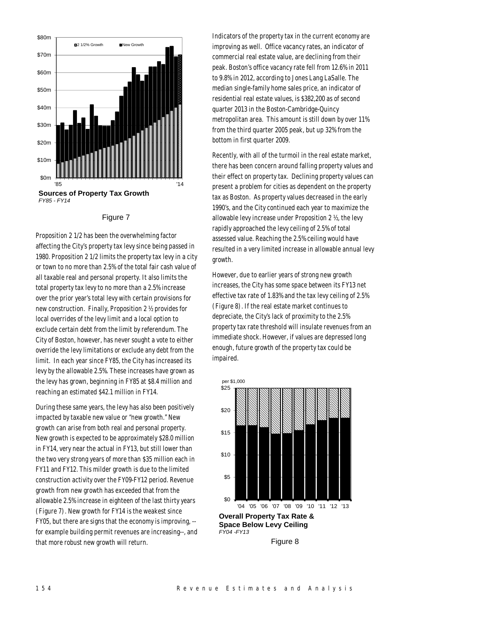

#### Figure 7

Proposition 2 1/2 has been the overwhelming factor affecting the City's property tax levy since being passed in 1980. Proposition 2 1/2 limits the property tax levy in a city or town to no more than 2.5% of the total fair cash value of all taxable real and personal property. It also limits the total property tax levy to no more than a 2.5% increase over the prior year's total levy with certain provisions for new construction. Finally, Proposition 2 ½ provides for local overrides of the levy limit and a local option to exclude certain debt from the limit by referendum. The City of Boston, however, has never sought a vote to either override the levy limitations or exclude any debt from the limit. In each year since FY85, the City has increased its levy by the allowable 2.5%. These increases have grown as the levy has grown, beginning in FY85 at \$8.4 million and reaching an estimated \$42.1 million in FY14.

During these same years, the levy has also been positively impacted by taxable new value or "new growth." New growth can arise from both real and personal property. New growth is expected to be approximately \$28.0 million in FY14, very near the actual in FY13, but still lower than the two very strong years of more than \$35 million each in FY11 and FY12. This milder growth is due to the limited construction activity over the FY09-FY12 period. Revenue growth from new growth has exceeded that from the allowable 2.5% increase in eighteen of the last thirty years (Figure 7). New growth for FY14 is the weakest since FY05, but there are signs that the economy is improving, - for example building permit revenues are increasing--, and that more robust new growth will return.

Indicators of the property tax in the current economy are improving as well. Office vacancy rates, an indicator of commercial real estate value, are declining from their peak. Boston's office vacancy rate fell from 12.6% in 2011 to 9.8% in 2012, according to Jones Lang LaSalle. The median single-family home sales price, an indicator of residential real estate values, is \$382,200 as of second quarter 2013 in the Boston-Cambridge-Quincy metropolitan area. This amount is still down by over 11% from the third quarter 2005 peak, but up 32% from the bottom in first quarter 2009.

Recently, with all of the turmoil in the real estate market, there has been concern around falling property values and their effect on property tax. Declining property values can present a problem for cities as dependent on the property tax as Boston. As property values decreased in the early 1990's, and the City continued each year to maximize the allowable levy increase under Proposition 2 ½, the levy rapidly approached the levy ceiling of 2.5% of total assessed value. Reaching the 2.5% ceiling would have resulted in a very limited increase in allowable annual levy growth.

However, due to earlier years of strong new growth increases, the City has some space between its FY13 net effective tax rate of 1.83% and the tax levy ceiling of 2.5% (Figure 8). If the real estate market continues to depreciate, the City's lack of proximity to the 2.5% property tax rate threshold will insulate revenues from an immediate shock. However, if values are depressed long enough, future growth of the property tax could be impaired.



Figure 8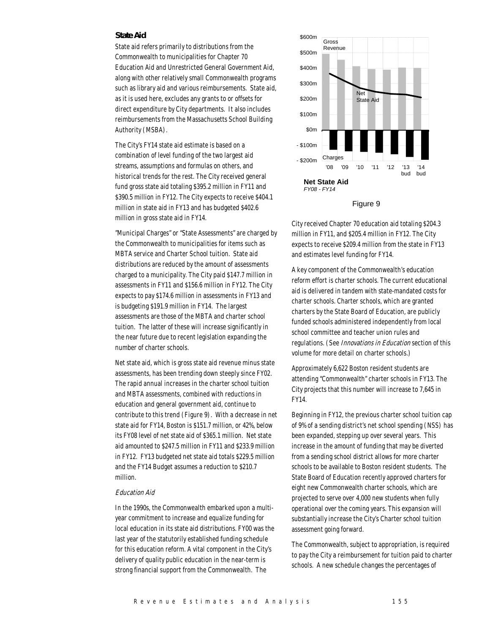#### *State Aid*

State aid refers primarily to distributions from the Commonwealth to municipalities for Chapter 70 Education Aid and Unrestricted General Government Aid, along with other relatively small Commonwealth programs such as library aid and various reimbursements. State aid, as it is used here, excludes any grants to or offsets for direct expenditure by City departments. It also includes reimbursements from the Massachusetts School Building Authority (MSBA).

The City's FY14 state aid estimate is based on a combination of level funding of the two largest aid streams, assumptions and formulas on others, and historical trends for the rest. The City received general fund gross state aid totaling \$395.2 million in FY11 and \$390.5 million in FY12. The City expects to receive \$404.1 million in state aid in FY13 and has budgeted \$402.6 million in gross state aid in FY14.

"Municipal Charges" or "State Assessments" are charged by the Commonwealth to municipalities for items such as MBTA service and Charter School tuition. State aid distributions are reduced by the amount of assessments charged to a municipality. The City paid \$147.7 million in assessments in FY11 and \$156.6 million in FY12. The City expects to pay \$174.6 million in assessments in FY13 and is budgeting \$191.9 million in FY14. The largest assessments are those of the MBTA and charter school tuition. The latter of these will increase significantly in the near future due to recent legislation expanding the number of charter schools.

Net state aid, which is gross state aid revenue minus state assessments, has been trending down steeply since FY02. The rapid annual increases in the charter school tuition and MBTA assessments, combined with reductions in education and general government aid, continue to contribute to this trend (Figure 9). With a decrease in net state aid for FY14, Boston is \$151.7 million, or 42%, below its FY08 level of net state aid of \$365.1 million. Net state aid amounted to \$247.5 million in FY11 and \$233.9 million in FY12. FY13 budgeted net state aid totals \$229.5 million and the FY14 Budget assumes a reduction to \$210.7 million.

#### Education Aid

In the 1990s, the Commonwealth embarked upon a multiyear commitment to increase and equalize funding for local education in its state aid distributions. FY00 was the last year of the statutorily established funding schedule for this education reform. A vital component in the City's delivery of quality public education in the near-term is strong financial support from the Commonwealth. The





City received Chapter 70 education aid totaling \$204.3 million in FY11, and \$205.4 million in FY12. The City expects to receive \$209.4 million from the state in FY13 and estimates level funding for FY14.

A key component of the Commonwealth's education reform effort is charter schools. The current educational aid is delivered in tandem with state-mandated costs for charter schools. Charter schools, which are granted charters by the State Board of Education, are publicly funded schools administered independently from local school committee and teacher union rules and regulations. (See *Innovations in Education* section of this volume for more detail on charter schools.)

Approximately 6,622 Boston resident students are attending "Commonwealth" charter schools in FY13. The City projects that this number will increase to 7,645 in FY14.

Beginning in FY12, the previous charter school tuition cap of 9% of a sending district's net school spending (NSS) has been expanded, stepping up over several years. This increase in the amount of funding that may be diverted from a sending school district allows for more charter schools to be available to Boston resident students. The State Board of Education recently approved charters for eight new Commonwealth charter schools, which are projected to serve over 4,000 new students when fully operational over the coming years. This expansion will substantially increase the City's Charter school tuition assessment going forward.

The Commonwealth, subject to appropriation, is required to pay the City a reimbursement for tuition paid to charter schools. A new schedule changes the percentages of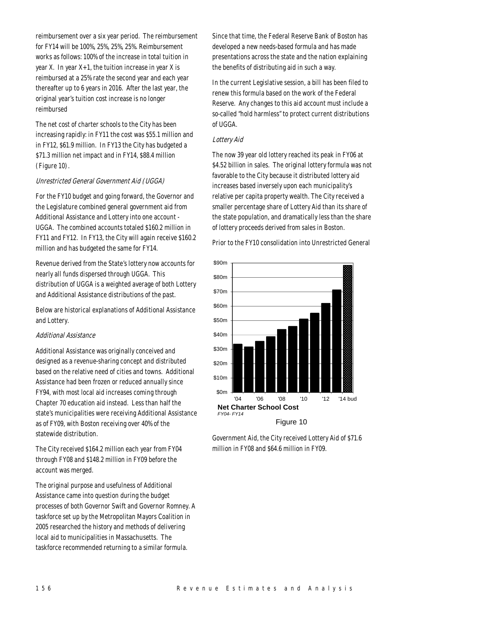reimbursement over a six year period. The reimbursement for FY14 will be 100%, 25%, 25%, 25%. Reimbursement works as follows: 100% of the increase in total tuition in year X. In year X+1, the tuition increase in year X is reimbursed at a 25% rate the second year and each year thereafter up to 6 years in 2016. After the last year, the original year's tuition cost increase is no longer reimbursed

The net cost of charter schools to the City has been increasing rapidly: in FY11 the cost was \$55.1 million and in FY12, \$61.9 million. In FY13 the City has budgeted a \$71.3 million net impact and in FY14, \$88.4 million (Figure 10).

#### Unrestricted General Government Aid (UGGA)

For the FY10 budget and going forward, the Governor and the Legislature combined general government aid from Additional Assistance and Lottery into one account - UGGA. The combined accounts totaled \$160.2 million in FY11 and FY12. In FY13, the City will again receive \$160.2 million and has budgeted the same for FY14.

Revenue derived from the State's lottery now accounts for nearly all funds dispersed through UGGA. This distribution of UGGA is a weighted average of both Lottery and Additional Assistance distributions of the past.

Below are historical explanations of Additional Assistance and Lottery.

#### Additional Assistance

Additional Assistance was originally conceived and designed as a revenue-sharing concept and distributed based on the relative need of cities and towns. Additional Assistance had been frozen or reduced annually since FY94, with most local aid increases coming through Chapter 70 education aid instead. Less than half the state's municipalities were receiving Additional Assistance as of FY09, with Boston receiving over 40% of the statewide distribution.

The City received \$164.2 million each year from FY04 through FY08 and \$148.2 million in FY09 before the account was merged.

The original purpose and usefulness of Additional Assistance came into question during the budget processes of both Governor Swift and Governor Romney. A taskforce set up by the Metropolitan Mayors Coalition in 2005 researched the history and methods of delivering local aid to municipalities in Massachusetts. The taskforce recommended returning to a similar formula.

Since that time, the Federal Reserve Bank of Boston has developed a new needs-based formula and has made presentations across the state and the nation explaining the benefits of distributing aid in such a way.

In the current Legislative session, a bill has been filed to renew this formula based on the work of the Federal Reserve. Any changes to this aid account must include a so-called "hold harmless" to protect current distributions of UGGA.

#### Lottery Aid

The now 39 year old lottery reached its peak in FY06 at \$4.52 billion in sales. The original lottery formula was not favorable to the City because it distributed lottery aid increases based inversely upon each municipality's relative per capita property wealth. The City received a smaller percentage share of Lottery Aid than its share of the state population, and dramatically less than the share of lottery proceeds derived from sales in Boston.

Prior to the FY10 consolidation into Unrestricted General



Government Aid, the City received Lottery Aid of \$71.6 million in FY08 and \$64.6 million in FY09.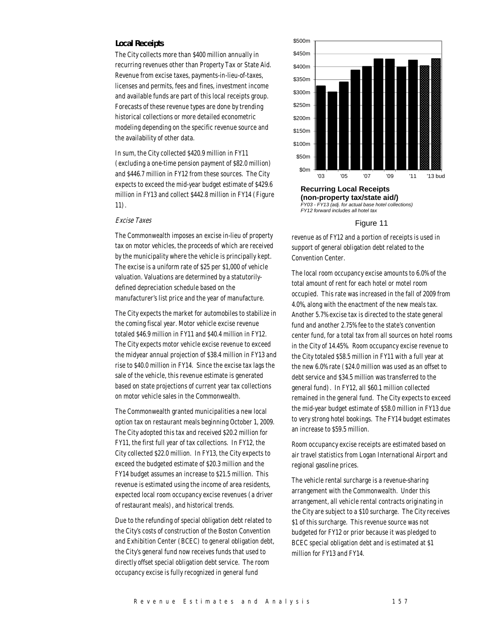#### *Local Receipts*

The City collects more than \$400 million annually in recurring revenues other than Property Tax or State Aid. Revenue from excise taxes, payments-in-lieu-of-taxes, licenses and permits, fees and fines, investment income and available funds are part of this local receipts group. Forecasts of these revenue types are done by trending historical collections or more detailed econometric modeling depending on the specific revenue source and the availability of other data.

In sum, the City collected \$420.9 million in FY11 (excluding a one-time pension payment of \$82.0 million) and \$446.7 million in FY12 from these sources. The City expects to exceed the mid-year budget estimate of \$429.6 million in FY13 and collect \$442.8 million in FY14 (Figure 11).

#### Excise Taxes

The Commonwealth imposes an excise in-lieu of property tax on motor vehicles, the proceeds of which are received by the municipality where the vehicle is principally kept. The excise is a uniform rate of \$25 per \$1,000 of vehicle valuation. Valuations are determined by a statutorilydefined depreciation schedule based on the manufacturer's list price and the year of manufacture.

The City expects the market for automobiles to stabilize in the coming fiscal year. Motor vehicle excise revenue totaled \$46.9 million in FY11 and \$40.4 million in FY12. The City expects motor vehicle excise revenue to exceed the midyear annual projection of \$38.4 million in FY13 and rise to \$40.0 million in FY14. Since the excise tax lags the sale of the vehicle, this revenue estimate is generated based on state projections of current year tax collections on motor vehicle sales in the Commonwealth.

The Commonwealth granted municipalities a new local option tax on restaurant meals beginning October 1, 2009. The City adopted this tax and received \$20.2 million for FY11, the first full year of tax collections. In FY12, the City collected \$22.0 million. In FY13, the City expects to exceed the budgeted estimate of \$20.3 million and the FY14 budget assumes an increase to \$21.5 million. This revenue is estimated using the income of area residents, expected local room occupancy excise revenues (a driver of restaurant meals), and historical trends.

Due to the refunding of special obligation debt related to the City's costs of construction of the Boston Convention and Exhibition Center (BCEC) to general obligation debt, the City's general fund now receives funds that used to directly offset special obligation debt service. The room occupancy excise is fully recognized in general fund



**(non-property tax/state aid/)**  *FY03 - FY13 (adj. for actual base hotel coll FY12 forward includes all hotel tax*

#### Figure 11

revenue as of FY12 and a portion of receipts is used in support of general obligation debt related to the Convention Center.

The local room occupancy excise amounts to 6.0% of the total amount of rent for each hotel or motel room occupied. This rate was increased in the fall of 2009 from 4.0%, along with the enactment of the new meals tax. Another 5.7% excise tax is directed to the state general fund and another 2.75% fee to the state's convention center fund, for a total tax from all sources on hotel rooms in the City of 14.45%. Room occupancy excise revenue to the City totaled \$58.5 million in FY11 with a full year at the new 6.0% rate (\$24.0 million was used as an offset to debt service and \$34.5 million was transferred to the general fund). In FY12, all \$60.1 million collected remained in the general fund. The City expects to exceed the mid-year budget estimate of \$58.0 million in FY13 due to very strong hotel bookings. The FY14 budget estimates an increase to \$59.5 million.

Room occupancy excise receipts are estimated based on air travel statistics from Logan International Airport and regional gasoline prices.

The vehicle rental surcharge is a revenue-sharing arrangement with the Commonwealth. Under this arrangement, all vehicle rental contracts originating in the City are subject to a \$10 surcharge. The City receives \$1 of this surcharge. This revenue source was not budgeted for FY12 or prior because it was pledged to BCEC special obligation debt and is estimated at \$1 million for FY13 and FY14.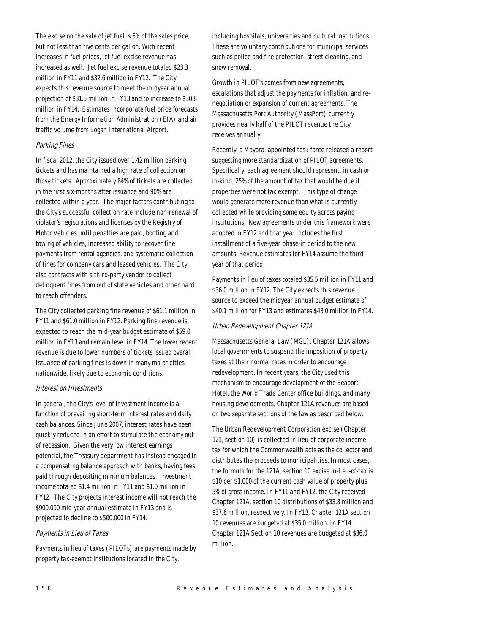The excise on the sale of jet fuel is 5% of the sales price, but not less than five cents per gallon. With recent increases in fuel prices, jet fuel excise revenue has increased as well. Jet fuel excise revenue totaled \$23.3 million in FY11 and \$32.6 million in FY12. The City expects this revenue source to meet the midyear annual projection of \$31.5 million in FY13 and to increase to \$30.8 million in FY14. Estimates incorporate fuel price forecasts from the Energy Information Administration (EIA) and air traffic volume from Logan International Airport.

# Parking Fines

In fiscal 2012, the City issued over 1.42 million parking tickets and has maintained a high rate of collection on those tickets. Approximately 84% of tickets are collected in the first six-months after issuance and 90% are collected within a year. The major factors contributing to the City's successful collection rate include non-renewal of violator's registrations and licenses by the Registry of Motor Vehicles until penalties are paid, booting and towing of vehicles, increased ability to recover fine payments from rental agencies, and systematic collection of fines for company cars and leased vehicles. The City also contracts with a third-party vendor to collect delinquent fines from out of state vehicles and other hard to reach offenders.

The City collected parking fine revenue of \$61.1 million in FY11 and \$61.0 million in FY12. Parking fine revenue is expected to reach the mid-year budget estimate of \$59.0 million in FY13 and remain level in FY14. The lower recent revenue is due to lower numbers of tickets issued overall. Issuance of parking fines is down in many major cities nationwide, likely due to economic conditions.

#### Interest on Investments

In general, the City's level of investment income is a function of prevailing short-term interest rates and daily cash balances. Since June 2007, interest rates have been quickly reduced in an effort to stimulate the economy out of recession. Given the very low interest earnings potential, the Treasury department has instead engaged in a compensating balance approach with banks, having fees paid through depositing minimum balances. Investment income totaled \$1.4 million in FY11 and \$1.0 million in FY12. The City projects interest income will not reach the \$900,000 mid-year annual estimate in FY13 and is projected to decline to \$500,000 in FY14.

#### Payments in Lieu of Taxes

Payments in lieu of taxes (PILOTs) are payments made by property tax-exempt institutions located in the City,

including hospitals, universities and cultural institutions. These are voluntary contributions for municipal services such as police and fire protection, street cleaning, and snow removal.

Growth in PILOT's comes from new agreements, escalations that adjust the payments for inflation, and renegotiation or expansion of current agreements. The Massachusetts Port Authority (MassPort) currently provides nearly half of the PILOT revenue the City receives annually.

Recently, a Mayoral appointed task force released a report suggesting more standardization of PILOT agreements. Specifically, each agreement should represent, in cash or in-kind, 25% of the amount of tax that would be due if properties were not tax exempt. This type of change would generate more revenue than what is currently collected while providing some equity across paying institutions. New agreements under this framework were adopted in FY12 and that year includes the first installment of a five-year phase-in period to the new amounts. Revenue estimates for FY14 assume the third year of that period.

Payments in lieu of taxes totaled \$35.5 million in FY11 and \$36.0 million in FY12. The City expects this revenue source to exceed the midyear annual budget estimate of \$40.1 million for FY13 and estimates \$43.0 million in FY14.

#### Urban Redevelopment Chapter 121A

Massachusetts General Law (MGL), Chapter 121A allows local governments to suspend the imposition of property taxes at their normal rates in order to encourage redevelopment. In recent years, the City used this mechanism to encourage development of the Seaport Hotel, the World Trade Center office buildings, and many housing developments. Chapter 121A revenues are based on two separate sections of the law as described below.

The Urban Redevelopment Corporation excise (Chapter 121, section 10) is collected in-lieu-of-corporate income tax for which the Commonwealth acts as the collector and distributes the proceeds to municipalities. In most cases, the formula for the 121A, section 10 excise in-lieu-of-tax is \$10 per \$1,000 of the current cash value of property plus 5% of gross income. In FY11 and FY12, the City received Chapter 121A, section 10 distributions of \$33.8 million and \$37.6 million, respectively. In FY13, Chapter 121A section 10 revenues are budgeted at \$35.0 million. In FY14, Chapter 121A Section 10 revenues are budgeted at \$36.0 million.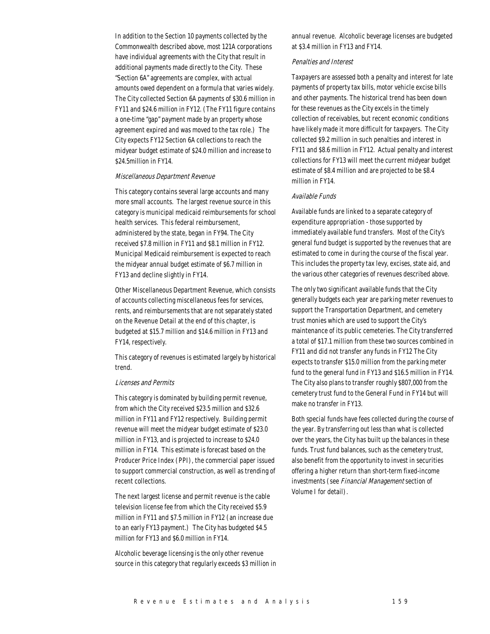In addition to the Section 10 payments collected by the Commonwealth described above, most 121A corporations have individual agreements with the City that result in additional payments made directly to the City. These "Section 6A" agreements are complex, with actual amounts owed dependent on a formula that varies widely. The City collected Section 6A payments of \$30.6 million in FY11 and \$24.6 million in FY12. (The FY11 figure contains a one-time "gap" payment made by an property whose agreement expired and was moved to the tax role.) The City expects FY12 Section 6A collections to reach the midyear budget estimate of \$24.0 million and increase to \$24.5million in FY14.

#### Miscellaneous Department Revenue

This category contains several large accounts and many more small accounts. The largest revenue source in this category is municipal medicaid reimbursements for school health services. This federal reimbursement, administered by the state, began in FY94. The City received \$7.8 million in FY11 and \$8.1 million in FY12. Municipal Medicaid reimbursement is expected to reach the midyear annual budget estimate of \$6.7 million in FY13 and decline slightly in FY14.

Other Miscellaneous Department Revenue, which consists of accounts collecting miscellaneous fees for services, rents, and reimbursements that are not separately stated on the Revenue Detail at the end of this chapter, is budgeted at \$15.7 million and \$14.6 million in FY13 and FY14, respectively.

This category of revenues is estimated largely by historical trend.

#### Licenses and Permits

This category is dominated by building permit revenue, from which the City received \$23.5 million and \$32.6 million in FY11 and FY12 respectively. Building permit revenue will meet the midyear budget estimate of \$23.0 million in FY13, and is projected to increase to \$24.0 million in FY14. This estimate is forecast based on the Producer Price Index (PPI), the commercial paper issued to support commercial construction, as well as trending of recent collections.

The next largest license and permit revenue is the cable television license fee from which the City received \$5.9 million in FY11 and \$7.5 million in FY12 (an increase due to an early FY13 payment.) The City has budgeted \$4.5 million for FY13 and \$6.0 million in FY14.

Alcoholic beverage licensing is the only other revenue source in this category that regularly exceeds \$3 million in annual revenue. Alcoholic beverage licenses are budgeted at \$3.4 million in FY13 and FY14.

#### Penalties and Interest

Taxpayers are assessed both a penalty and interest for late payments of property tax bills, motor vehicle excise bills and other payments. The historical trend has been down for these revenues as the City excels in the timely collection of receivables, but recent economic conditions have likely made it more difficult for taxpayers. The City collected \$9.2 million in such penalties and interest in FY11 and \$8.6 million in FY12. Actual penalty and interest collections for FY13 will meet the current midyear budget estimate of \$8.4 million and are projected to be \$8.4 million in FY14.

#### Available Funds

Available funds are linked to a separate category of expenditure appropriation - those supported by immediately available fund transfers. Most of the City's general fund budget is supported by the revenues that are estimated to come in during the course of the fiscal year. This includes the property tax levy, excises, state aid, and the various other categories of revenues described above.

The only two significant available funds that the City generally budgets each year are parking meter revenues to support the Transportation Department, and cemetery trust monies which are used to support the City's maintenance of its public cemeteries. The City transferred a total of \$17.1 million from these two sources combined in FY11 and did not transfer any funds in FY12 The City expects to transfer \$15.0 million from the parking meter fund to the general fund in FY13 and \$16.5 million in FY14. The City also plans to transfer roughly \$807,000 from the cemetery trust fund to the General Fund in FY14 but will make no transfer in FY13.

Both special funds have fees collected during the course of the year. By transferring out less than what is collected over the years, the City has built up the balances in these funds. Trust fund balances, such as the cemetery trust, also benefit from the opportunity to invest in securities offering a higher return than short-term fixed-income investments (see Financial Management section of Volume I for detail).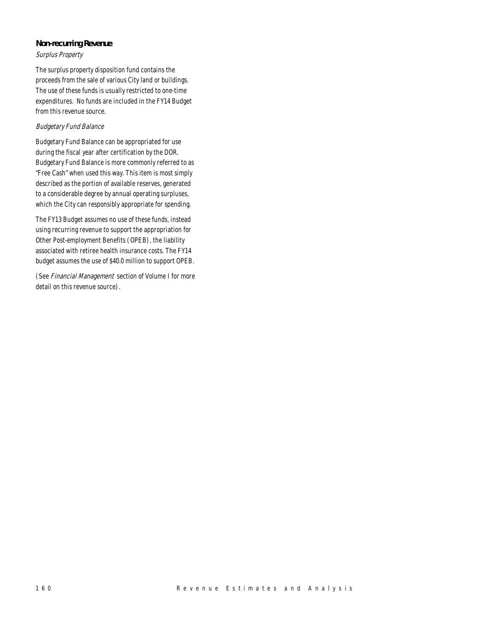# *Non-recurring Revenue*

# Surplus Property

The surplus property disposition fund contains the proceeds from the sale of various City land or buildings. The use of these funds is usually restricted to one-time expenditures. No funds are included in the FY14 Budget from this revenue source.

# Budgetary Fund Balance

Budgetary Fund Balance can be appropriated for use during the fiscal year after certification by the DOR. Budgetary Fund Balance is more commonly referred to as "Free Cash" when used this way. This item is most simply described as the portion of available reserves, generated to a considerable degree by annual operating surpluses, which the City can responsibly appropriate for spending.

The FY13 Budget assumes no use of these funds, instead using recurring revenue to support the appropriation for Other Post-employment Benefits (OPEB), the liability associated with retiree health insurance costs. The FY14 budget assumes the use of \$40.0 million to support OPEB.

(See Financial Management section of Volume I for more detail on this revenue source).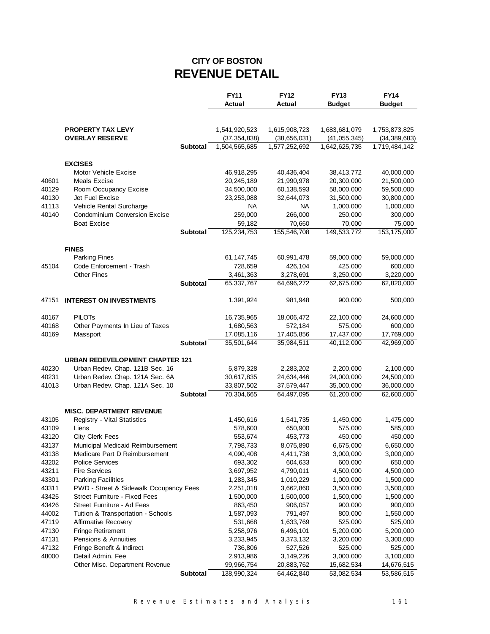# **CITY OF BOSTON REVENUE DETAIL**

|                |                                                         |                 | <b>FY11</b>                     | <b>FY12</b>                     | <b>FY13</b>                     | <b>FY14</b>                     |
|----------------|---------------------------------------------------------|-----------------|---------------------------------|---------------------------------|---------------------------------|---------------------------------|
|                |                                                         |                 | Actual                          | Actual                          | <b>Budget</b>                   | <b>Budget</b>                   |
|                |                                                         |                 |                                 |                                 |                                 |                                 |
|                |                                                         |                 |                                 |                                 | 1,683,681,079                   |                                 |
|                | <b>PROPERTY TAX LEVY</b><br><b>OVERLAY RESERVE</b>      |                 | 1,541,920,523<br>(37, 354, 838) | 1,615,908,723                   |                                 | 1,753,873,825                   |
|                |                                                         | Subtotal        | 1,504,565,685                   | (38, 656, 031)<br>1,577,252,692 | (41, 055, 345)<br>1,642,625,735 | (34, 389, 683)<br>1,719,484,142 |
|                |                                                         |                 |                                 |                                 |                                 |                                 |
|                | <b>EXCISES</b>                                          |                 |                                 |                                 |                                 |                                 |
|                | Motor Vehicle Excise                                    |                 | 46,918,295                      | 40,436,404                      | 38,413,772                      | 40,000,000                      |
| 40601          | Meals Excise                                            |                 | 20,245,189                      | 21,990,978                      | 20,300,000                      | 21,500,000                      |
| 40129          | Room Occupancy Excise                                   |                 | 34,500,000                      | 60,138,593                      | 58,000,000                      | 59,500,000                      |
| 40130          | Jet Fuel Excise                                         |                 | 23,253,088                      | 32,644,073                      | 31,500,000                      | 30,800,000                      |
| 41113          | Vehicle Rental Surcharge                                |                 | NA                              | NA                              | 1,000,000                       | 1,000,000                       |
| 40140          | <b>Condominium Conversion Excise</b>                    |                 | 259,000                         | 266,000                         | 250,000                         | 300,000                         |
|                | <b>Boat Excise</b>                                      |                 | 59,182                          | 70,660                          | 70,000                          | 75,000                          |
|                |                                                         | Subtotal        | 125,234,753                     | 155,546,708                     | 149,533,772                     | 153,175,000                     |
|                |                                                         |                 |                                 |                                 |                                 |                                 |
|                | <b>FINES</b>                                            |                 |                                 |                                 |                                 |                                 |
|                | <b>Parking Fines</b>                                    |                 | 61, 147, 745                    | 60,991,478                      | 59,000,000                      | 59,000,000                      |
| 45104          | Code Enforcement - Trash                                |                 | 728,659                         | 426,104                         | 425,000                         | 600,000                         |
|                | <b>Other Fines</b>                                      |                 | 3,461,363                       | 3,278,691                       | 3,250,000                       | 3,220,000                       |
|                |                                                         | <b>Subtotal</b> | 65,337,767                      | 64,696,272                      | 62,675,000                      | 62,820,000                      |
|                |                                                         |                 |                                 |                                 |                                 |                                 |
| 47151          | <b>INTEREST ON INVESTMENTS</b>                          |                 | 1,391,924                       | 981,948                         | 900,000                         | 500,000                         |
| 40167          | <b>PILOTS</b>                                           |                 | 16,735,965                      | 18,006,472                      | 22,100,000                      | 24,600,000                      |
| 40168          | Other Payments In Lieu of Taxes                         |                 | 1,680,563                       | 572,184                         | 575,000                         | 600,000                         |
| 40169          | Massport                                                |                 | 17,085,116                      | 17,405,856                      | 17,437,000                      | 17,769,000                      |
|                |                                                         | <b>Subtotal</b> | 35,501,644                      | 35,984,511                      | 40,112,000                      | 42,969,000                      |
|                |                                                         |                 |                                 |                                 |                                 |                                 |
|                | <b>URBAN REDEVELOPMENT CHAPTER 121</b>                  |                 |                                 |                                 |                                 |                                 |
| 40230          | Urban Redev. Chap. 121B Sec. 16                         |                 | 5,879,328                       | 2,283,202                       | 2,200,000                       | 2,100,000                       |
| 40231          | Urban Redev. Chap. 121A Sec. 6A                         |                 | 30,617,835                      | 24,634,446                      | 24,000,000                      | 24,500,000                      |
| 41013          | Urban Redev. Chap. 121A Sec. 10                         |                 | 33,807,502                      | 37,579,447                      | 35,000,000                      | 36,000,000                      |
|                |                                                         | Subtotal        | 70,304,665                      | 64,497,095                      | 61,200,000                      | 62,600,000                      |
|                |                                                         |                 |                                 |                                 |                                 |                                 |
|                | <b>MISC. DEPARTMENT REVENUE</b>                         |                 |                                 |                                 |                                 |                                 |
| 43105          | Registry - Vital Statistics                             |                 | 1,450,616                       | 1,541,735                       | 1,450,000                       | 1,475,000                       |
| 43109          | Liens                                                   |                 | 578,600                         | 650,900                         | 575,000                         | 585,000                         |
| 43120          | <b>City Clerk Fees</b>                                  |                 | 553,674                         | 453,773                         | 450,000                         | 450,000                         |
| 43137          | Municipal Medicaid Reimbursement                        |                 | 7,798,733                       | 8,075,890                       | 6,675,000<br>3,000,000          | 6,650,000                       |
| 43138          | Medicare Part D Reimbursement<br><b>Police Services</b> |                 | 4,090,408                       | 4,411,738                       | 600,000                         | 3,000,000                       |
| 43202<br>43211 | <b>Fire Services</b>                                    |                 | 693,302<br>3,697,952            | 604,633<br>4,790,011            | 4,500,000                       | 650,000<br>4,500,000            |
| 43301          | <b>Parking Facilities</b>                               |                 | 1,283,345                       | 1,010,229                       | 1,000,000                       | 1,500,000                       |
| 43311          | PWD - Street & Sidewalk Occupancy Fees                  |                 | 2,251,018                       | 3,662,860                       | 3,500,000                       | 3,500,000                       |
| 43425          | Street Furniture - Fixed Fees                           |                 | 1,500,000                       | 1,500,000                       | 1,500,000                       | 1,500,000                       |
| 43426          | Street Furniture - Ad Fees                              |                 | 863,450                         | 906,057                         | 900,000                         | 900,000                         |
| 44002          | Tuition & Transportation - Schools                      |                 | 1,587,093                       | 791,497                         | 800,000                         | 1,550,000                       |
| 47119          | Affirmative Recovery                                    |                 | 531,668                         | 1,633,769                       | 525,000                         | 525,000                         |
| 47130          | Fringe Retirement                                       |                 | 5,258,976                       | 6,496,101                       | 5,200,000                       | 5,200,000                       |
| 47131          | Pensions & Annuities                                    |                 | 3,233,945                       | 3,373,132                       | 3,200,000                       | 3,300,000                       |
| 47132          | Fringe Benefit & Indirect                               |                 | 736,806                         | 527,526                         | 525,000                         | 525,000                         |
| 48000          | Detail Admin. Fee                                       |                 | 2,913,986                       | 3,149,226                       | 3,000,000                       | 3,100,000                       |
|                | Other Misc. Department Revenue                          |                 | 99,966,754                      | 20,883,762                      | 15,682,534                      | 14,676,515                      |
|                |                                                         | Subtotal        | 138,990,324                     | 64,462,840                      | 53,082,534                      | 53,586,515                      |